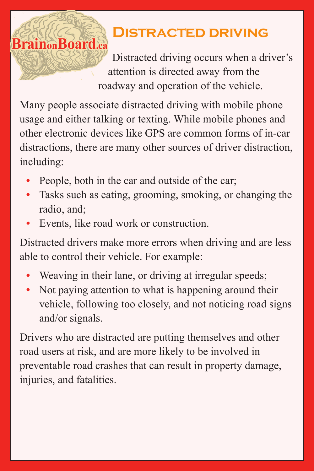## **Distracted driving**

Distracted driving occurs when a driver's attention is directed away from the roadway and operation of the vehicle.

Many people associate distracted driving with mobile phone usage and either talking or texting. While mobile phones and other electronic devices like GPS are common forms of in-car distractions, there are many other sources of driver distraction, including:

- **•** People, both in the car and outside of the car;
- **•** Tasks such as eating, grooming, smoking, or changing the radio, and;
- **•** Events, like road work or construction.

**Brain**<sub>on</sub>Board.ca

Distracted drivers make more errors when driving and are less able to control their vehicle. For example:

- **•** Weaving in their lane, or driving at irregular speeds;
- **•** Not paying attention to what is happening around their vehicle, following too closely, and not noticing road signs and/or signals.

Drivers who are distracted are putting themselves and other road users at risk, and are more likely to be involved in preventable road crashes that can result in property damage, injuries, and fatalities.